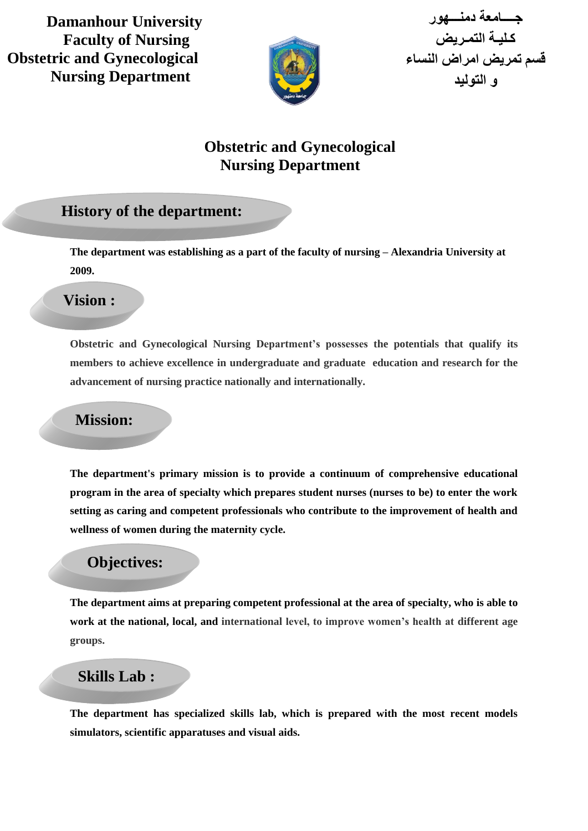

**جــــامعت دمنـــهىس كـهيـت انتمـشيض قسم تمشيض امشاض اننساء و انتىنيذ**

# **Obstetric and Gynecological Nursing Department**

## **History of the department:**

**dedepartmemet** 

**The department was establishing as a part of the faculty of nursing – Alexandria University at 2009.**

#### **Vision :**

**Obstetric and Gynecological Nursing Department's possesses the potentials that qualify its members to achieve excellence in undergraduate and graduate education and research for the advancement of nursing practice nationally and internationally.**

## **Mission:**

**The department's primary mission is to provide a continuum of comprehensive educational program in the area of specialty which prepares student nurses (nurses to be) to enter the work setting as caring and competent professionals who contribute to the improvement of health and wellness of women during the maternity cycle.** 

## **Objectives:**

**The department aims at preparing competent professional at the area of specialty, who is able to work at the national, local, and international level, to improve women's health at different age groups.** 

## **Skills Lab :**

**The department has specialized skills lab, which is prepared with the most recent models simulators, scientific apparatuses and visual aids.**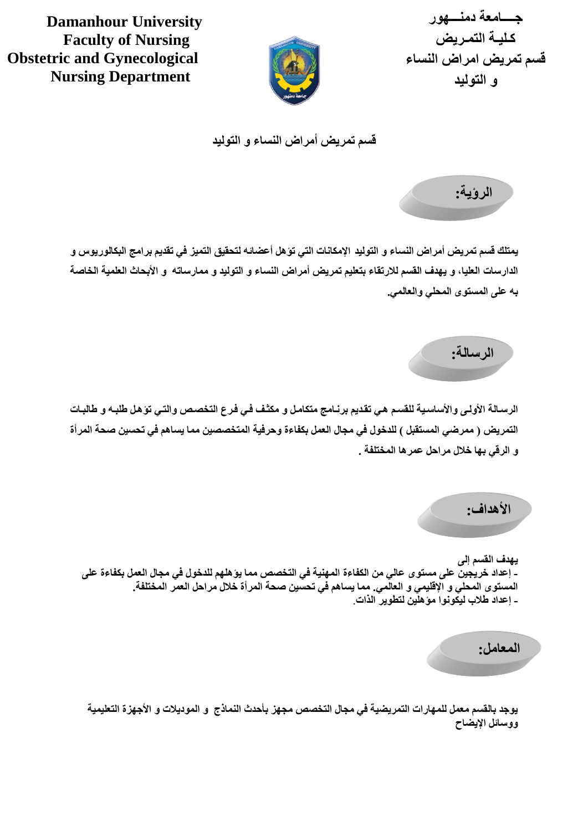**جــــامعت دمنـــهىس كـهيـت انتمـشيض قسم تمشيض امشاض اننساء و انتىنيذ**



**قسم تمشيض أمشاض اننساء و انتىنيذ**



يمتلك قسم تمريض أمراض النساء و التوليد الإمكانات التي تؤهل أعضائه لتحقيق التميز في تقديم برامج البكالوريوس و الدارسات العليا، و يهدف القسم للارتقاء بتعليم تمريض أمراض النساء و التوليد و ممارساته و الأبحاث العلمية الخاصة **به عهً انمستىي انمحهي وانعانمي.** 

**انشسانت:**

الرسـالـة الأولـى والأساسـيـة للقسـم هـي تقديم برنــامج متكامـل و مكثـف فـي فـرع التخصـص والتـي تؤهل طلبـه و طالبـات التمريض ( ممرض*ى* المستقبل ) للدخول في مجال العمل بكفاءة وحرفية المتخصصين مما يساهم في تحسين صحة المرأة **و انشقي بها خالل مشاحم عمشها انمختهفت .** 

**األهذاف:**

**يهذف انقسم ئنً - ئعذاد خشيجين عهً مستىي عاني من انكفاءة انمهنيت في انتخاي مما يإهههم نهذخىل في مجال انعمم بكفاءة عهً**  المستوى المحلي و الإقليمي و العالمي. مما يساهم في تحسين صحة المرأة خلال مراحل العمر المختلفة. **- ئعذاد بالب نيكىنىا مإههين نتطىيش انزاث**.

**انمعامم:**

يوجد بالقسم مع*مل للمهار ات التمر*يضية ف*ي* مجال التخصص مجهز بأحدث النماذج و الموديلات و الأجهزة التعليمية **ووسائم اإليضا**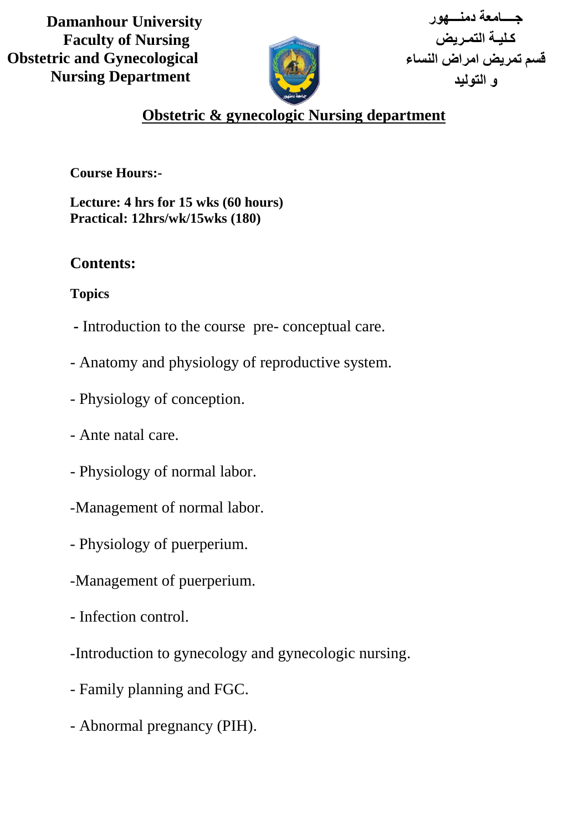

**جــــامعت دمنـــهىس كـهيـت انتمـشيض قسم تمشيض امشاض اننساء و انتىنيذ**

# **Obstetric & gynecologic Nursing department**

**Course Hours:-**

**Lecture: 4 hrs for 15 wks (60 hours) Practical: 12hrs/wk/15wks (180)**

# **Contents:**

**Topics**

- **-** Introduction to the course pre- conceptual care.
- Anatomy and physiology of reproductive system.
- Physiology of conception.
- Ante natal care.
- Physiology of normal labor.
- -Management of normal labor.
- Physiology of puerperium.
- -Management of puerperium.
- Infection control.
- -Introduction to gynecology and gynecologic nursing.
- Family planning and FGC.
- Abnormal pregnancy (PIH).